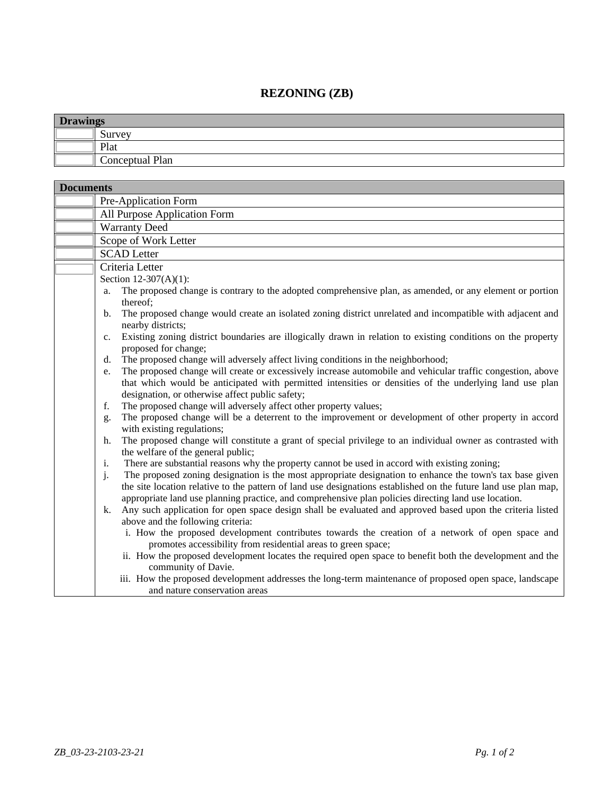## **REZONING (ZB)**

| <b>Drawings</b> |                 |
|-----------------|-----------------|
|                 | Survey          |
|                 | Plat            |
|                 | Conceptual Plan |

| <b>Documents</b> |                                                                                                                                                                                                                                                                                                                                           |  |
|------------------|-------------------------------------------------------------------------------------------------------------------------------------------------------------------------------------------------------------------------------------------------------------------------------------------------------------------------------------------|--|
|                  | Pre-Application Form                                                                                                                                                                                                                                                                                                                      |  |
|                  | All Purpose Application Form                                                                                                                                                                                                                                                                                                              |  |
|                  | <b>Warranty Deed</b>                                                                                                                                                                                                                                                                                                                      |  |
|                  | Scope of Work Letter                                                                                                                                                                                                                                                                                                                      |  |
|                  | <b>SCAD</b> Letter                                                                                                                                                                                                                                                                                                                        |  |
|                  | Criteria Letter                                                                                                                                                                                                                                                                                                                           |  |
|                  | Section 12-307(A)(1):                                                                                                                                                                                                                                                                                                                     |  |
|                  | The proposed change is contrary to the adopted comprehensive plan, as amended, or any element or portion<br>a.<br>thereof;                                                                                                                                                                                                                |  |
|                  | The proposed change would create an isolated zoning district unrelated and incompatible with adjacent and<br>$b$ .<br>nearby districts;                                                                                                                                                                                                   |  |
|                  | Existing zoning district boundaries are illogically drawn in relation to existing conditions on the property<br>$\mathbf{c}$ .<br>proposed for change;                                                                                                                                                                                    |  |
|                  | The proposed change will adversely affect living conditions in the neighborhood;<br>d.                                                                                                                                                                                                                                                    |  |
|                  | The proposed change will create or excessively increase automobile and vehicular traffic congestion, above<br>e.<br>that which would be anticipated with permitted intensities or densities of the underlying land use plan<br>designation, or otherwise affect public safety;                                                            |  |
|                  | The proposed change will adversely affect other property values;<br>f.                                                                                                                                                                                                                                                                    |  |
|                  | The proposed change will be a deterrent to the improvement or development of other property in accord<br>g.<br>with existing regulations;                                                                                                                                                                                                 |  |
|                  | The proposed change will constitute a grant of special privilege to an individual owner as contrasted with<br>h.<br>the welfare of the general public;                                                                                                                                                                                    |  |
|                  | There are substantial reasons why the property cannot be used in accord with existing zoning;<br>i.                                                                                                                                                                                                                                       |  |
|                  | j.<br>The proposed zoning designation is the most appropriate designation to enhance the town's tax base given<br>the site location relative to the pattern of land use designations established on the future land use plan map,<br>appropriate land use planning practice, and comprehensive plan policies directing land use location. |  |
|                  | Any such application for open space design shall be evaluated and approved based upon the criteria listed<br>k.<br>above and the following criteria:                                                                                                                                                                                      |  |
|                  | i. How the proposed development contributes towards the creation of a network of open space and<br>promotes accessibility from residential areas to green space;                                                                                                                                                                          |  |
|                  | ii. How the proposed development locates the required open space to benefit both the development and the<br>community of Davie.                                                                                                                                                                                                           |  |
|                  | iii. How the proposed development addresses the long-term maintenance of proposed open space, landscape                                                                                                                                                                                                                                   |  |
|                  | and nature conservation areas                                                                                                                                                                                                                                                                                                             |  |